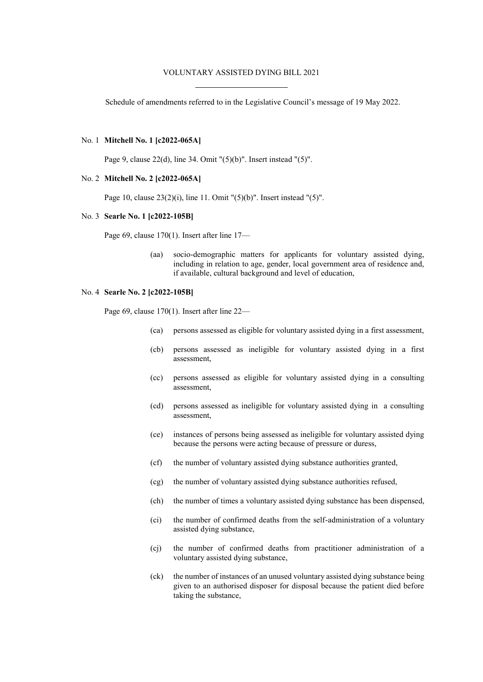## VOLUNTARY ASSISTED DYING BILL 2021

Schedule of amendments referred to in the Legislative Council's message of 19 May 2022.

## No. 1 **Mitchell No. 1 [c2022-065A]**

Page 9, clause 22(d), line 34. Omit "(5)(b)". Insert instead "(5)".

### No. 2 **Mitchell No. 2 [c2022-065A]**

Page 10, clause 23(2)(i), line 11. Omit "(5)(b)". Insert instead "(5)".

# No. 3 **Searle No. 1 [c2022-105B]**

Page 69, clause 170(1). Insert after line 17—

(aa) socio-demographic matters for applicants for voluntary assisted dying, including in relation to age, gender, local government area of residence and, if available, cultural background and level of education,

#### No. 4 **Searle No. 2 [c2022-105B]**

Page 69, clause 170(1). Insert after line 22—

- (ca) persons assessed as eligible for voluntary assisted dying in a first assessment,
- (cb) persons assessed as ineligible for voluntary assisted dying in a first assessment,
- (cc) persons assessed as eligible for voluntary assisted dying in a consulting assessment,
- (cd) persons assessed as ineligible for voluntary assisted dying in a consulting assessment,
- (ce) instances of persons being assessed as ineligible for voluntary assisted dying because the persons were acting because of pressure or duress,
- (cf) the number of voluntary assisted dying substance authorities granted,
- (cg) the number of voluntary assisted dying substance authorities refused,
- (ch) the number of times a voluntary assisted dying substance has been dispensed,
- (ci) the number of confirmed deaths from the self-administration of a voluntary assisted dying substance,
- (cj) the number of confirmed deaths from practitioner administration of a voluntary assisted dying substance,
- (ck) the number of instances of an unused voluntary assisted dying substance being given to an authorised disposer for disposal because the patient died before taking the substance,